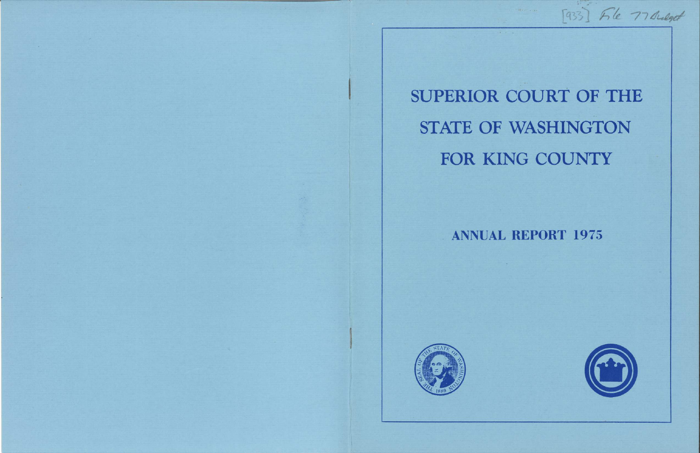

# SUPERIOR COURT OF THE STATE OF WASHINGTON FOR KING COUNTY

[933] File 77 Bulget

# **ANNUAL REPORT 1975**

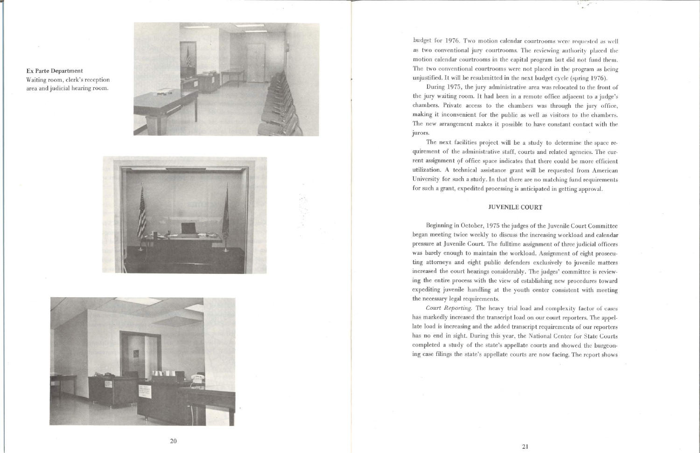







budget for 1976. Two motion calendar courtrooms were requested as well as two conventional jury courtrooms. The reviewing authority placed the motion calendar courtrooms in the capital program but did not fund them. The two conventional courtrooms were not placed in the program as being unjustified. It will be resubmitted in the next budget cycle (spring 1976).

During 1975, the jury administrative area was relocated to the front ol' the jury waiting room. It had been in a remote office adjacent to a judge's chambers. Private access to the chambers was through the jury office, making it inconvenient for the public as well as visitors to the chambers. The new arrangement makes it possible to have constant contact with the jurors.

Beginning in October, 1975 the judges of the Juvenile Court Committee began meeting twice weekly to discuss the increasing workload and calendar pressure at Juvenile Court. The fulltime assignment of three judicial officers was barely enough to maintain the workload. Assignment of eight prosecuting attorneys and eight public defenders exclusively to juvenile matters increased the court hearings considerably. The judges' committee is reviewing the entire process with the view of establishing new procedures toward expediting juvenile handling at the youth center consistent with meeting the necessary legal requirements.

Court Reporting. The heavy trial load and complexity factor of cases has markedly increased the transcript load on our court reporters. The appellate load is increasing and the added transcript requirements of our reporters has no end in sight. During this year, the National Center for State Courts completed a study of the state's appellate courts and showed thc burgeoning case filings the state's appellate courts are now facing. The report shows

The next facilities project will be a study to determine the space requirement of the administrative staff, courts and related agencies. The current assignment of office space indicates that there could be more efficient utilization. A technical assistance grant will be requested from American University for such a study. In that there are no matching fund requirements for such a grant, expedited processing is anticipated in getting approval.

### JUVENILE COURT

20

2l